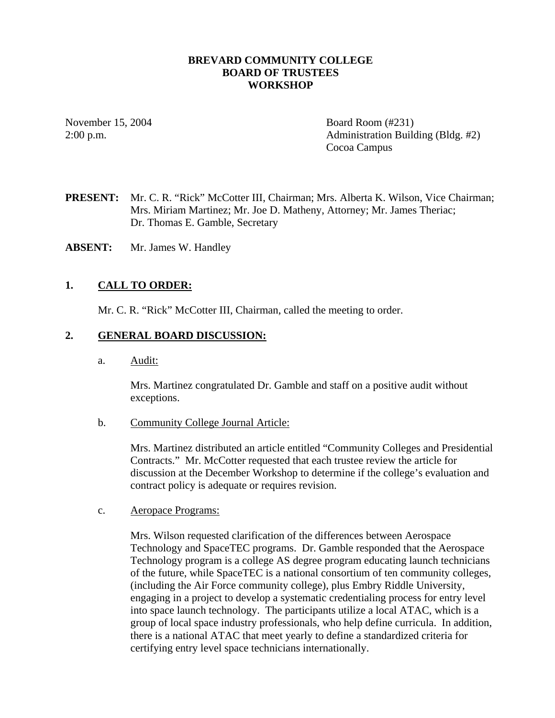#### **BREVARD COMMUNITY COLLEGE BOARD OF TRUSTEES WORKSHOP**

November 15, 2004 Board Room (#231) 2:00 p.m. Administration Building (Bldg. #2) Cocoa Campus

- **PRESENT:** Mr. C. R. "Rick" McCotter III, Chairman; Mrs. Alberta K. Wilson, Vice Chairman; Mrs. Miriam Martinez; Mr. Joe D. Matheny, Attorney; Mr. James Theriac; Dr. Thomas E. Gamble, Secretary
- **ABSENT:** Mr. James W. Handley

#### **1. CALL TO ORDER:**

Mr. C. R. "Rick" McCotter III, Chairman, called the meeting to order.

#### **2. GENERAL BOARD DISCUSSION:**

a. Audit:

Mrs. Martinez congratulated Dr. Gamble and staff on a positive audit without exceptions.

b. Community College Journal Article:

Mrs. Martinez distributed an article entitled "Community Colleges and Presidential Contracts." Mr. McCotter requested that each trustee review the article for discussion at the December Workshop to determine if the college's evaluation and contract policy is adequate or requires revision.

c. Aeropace Programs:

Mrs. Wilson requested clarification of the differences between Aerospace Technology and SpaceTEC programs. Dr. Gamble responded that the Aerospace Technology program is a college AS degree program educating launch technicians of the future, while SpaceTEC is a national consortium of ten community colleges, (including the Air Force community college), plus Embry Riddle University, engaging in a project to develop a systematic credentialing process for entry level into space launch technology. The participants utilize a local ATAC, which is a group of local space industry professionals, who help define curricula. In addition, there is a national ATAC that meet yearly to define a standardized criteria for certifying entry level space technicians internationally.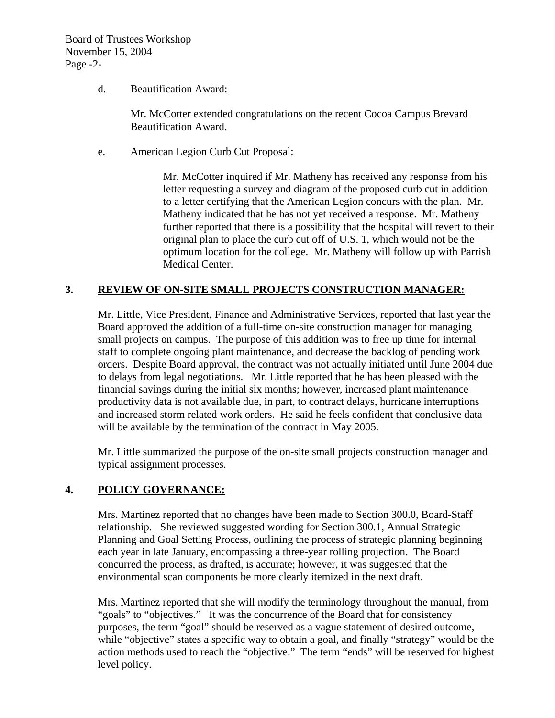### d. Beautification Award:

Mr. McCotter extended congratulations on the recent Cocoa Campus Brevard Beautification Award.

e. American Legion Curb Cut Proposal:

Mr. McCotter inquired if Mr. Matheny has received any response from his letter requesting a survey and diagram of the proposed curb cut in addition to a letter certifying that the American Legion concurs with the plan. Mr. Matheny indicated that he has not yet received a response. Mr. Matheny further reported that there is a possibility that the hospital will revert to their original plan to place the curb cut off of U.S. 1, which would not be the optimum location for the college. Mr. Matheny will follow up with Parrish Medical Center.

## **3. REVIEW OF ON-SITE SMALL PROJECTS CONSTRUCTION MANAGER:**

Mr. Little, Vice President, Finance and Administrative Services, reported that last year the Board approved the addition of a full-time on-site construction manager for managing small projects on campus. The purpose of this addition was to free up time for internal staff to complete ongoing plant maintenance, and decrease the backlog of pending work orders. Despite Board approval, the contract was not actually initiated until June 2004 due to delays from legal negotiations. Mr. Little reported that he has been pleased with the financial savings during the initial six months; however, increased plant maintenance productivity data is not available due, in part, to contract delays, hurricane interruptions and increased storm related work orders. He said he feels confident that conclusive data will be available by the termination of the contract in May 2005.

Mr. Little summarized the purpose of the on-site small projects construction manager and typical assignment processes.

## **4. POLICY GOVERNANCE:**

Mrs. Martinez reported that no changes have been made to Section 300.0, Board-Staff relationship. She reviewed suggested wording for Section 300.1, Annual Strategic Planning and Goal Setting Process, outlining the process of strategic planning beginning each year in late January, encompassing a three-year rolling projection. The Board concurred the process, as drafted, is accurate; however, it was suggested that the environmental scan components be more clearly itemized in the next draft.

Mrs. Martinez reported that she will modify the terminology throughout the manual, from "goals" to "objectives." It was the concurrence of the Board that for consistency purposes, the term "goal" should be reserved as a vague statement of desired outcome, while "objective" states a specific way to obtain a goal, and finally "strategy" would be the action methods used to reach the "objective." The term "ends" will be reserved for highest level policy.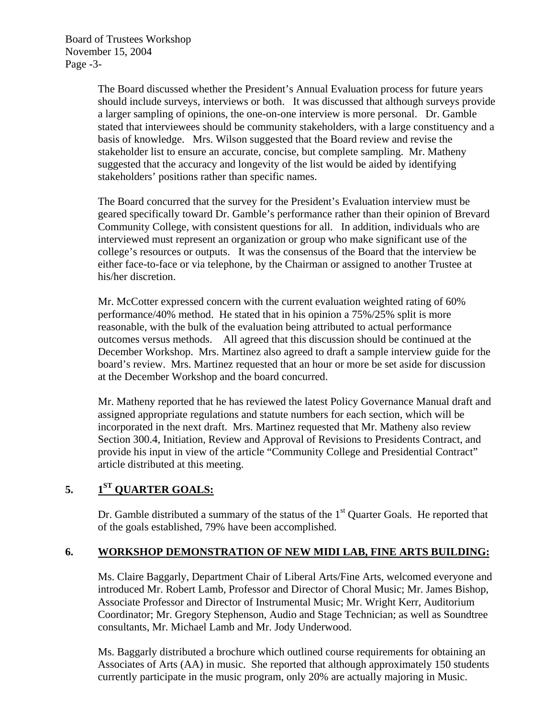Board of Trustees Workshop November 15, 2004 Page -3-

> The Board discussed whether the President's Annual Evaluation process for future years should include surveys, interviews or both. It was discussed that although surveys provide a larger sampling of opinions, the one-on-one interview is more personal. Dr. Gamble stated that interviewees should be community stakeholders, with a large constituency and a basis of knowledge. Mrs. Wilson suggested that the Board review and revise the stakeholder list to ensure an accurate, concise, but complete sampling. Mr. Matheny suggested that the accuracy and longevity of the list would be aided by identifying stakeholders' positions rather than specific names.

The Board concurred that the survey for the President's Evaluation interview must be geared specifically toward Dr. Gamble's performance rather than their opinion of Brevard Community College, with consistent questions for all. In addition, individuals who are interviewed must represent an organization or group who make significant use of the college's resources or outputs. It was the consensus of the Board that the interview be either face-to-face or via telephone, by the Chairman or assigned to another Trustee at his/her discretion.

Mr. McCotter expressed concern with the current evaluation weighted rating of 60% performance/40% method. He stated that in his opinion a 75%/25% split is more reasonable, with the bulk of the evaluation being attributed to actual performance outcomes versus methods. All agreed that this discussion should be continued at the December Workshop. Mrs. Martinez also agreed to draft a sample interview guide for the board's review. Mrs. Martinez requested that an hour or more be set aside for discussion at the December Workshop and the board concurred.

Mr. Matheny reported that he has reviewed the latest Policy Governance Manual draft and assigned appropriate regulations and statute numbers for each section, which will be incorporated in the next draft. Mrs. Martinez requested that Mr. Matheny also review Section 300.4, Initiation, Review and Approval of Revisions to Presidents Contract, and provide his input in view of the article "Community College and Presidential Contract" article distributed at this meeting.

# **5. 1ST QUARTER GOALS:**

Dr. Gamble distributed a summary of the status of the  $1<sup>st</sup>$  Quarter Goals. He reported that of the goals established, 79% have been accomplished.

## **6. WORKSHOP DEMONSTRATION OF NEW MIDI LAB, FINE ARTS BUILDING:**

Ms. Claire Baggarly, Department Chair of Liberal Arts/Fine Arts, welcomed everyone and introduced Mr. Robert Lamb, Professor and Director of Choral Music; Mr. James Bishop, Associate Professor and Director of Instrumental Music; Mr. Wright Kerr, Auditorium Coordinator; Mr. Gregory Stephenson, Audio and Stage Technician; as well as Soundtree consultants, Mr. Michael Lamb and Mr. Jody Underwood.

Ms. Baggarly distributed a brochure which outlined course requirements for obtaining an Associates of Arts (AA) in music. She reported that although approximately 150 students currently participate in the music program, only 20% are actually majoring in Music.